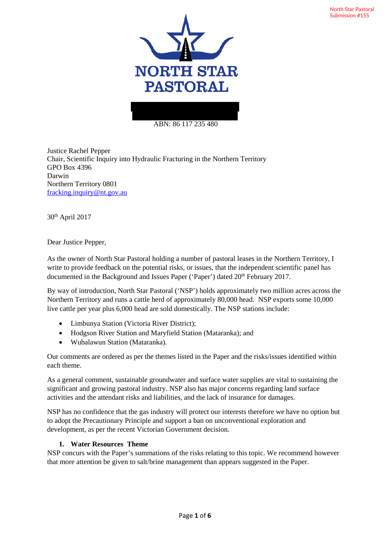

#### ABN: 86 117 235 480

Justice Rachel Pepper Chair, Scientific Inquiry into Hydraulic Fracturing in the Northern Territory GPO Box 4396 Darwin Northern Territory 0801 fracking.inquiry@nt.gov.au

30th April 2017

Dear Justice Pepper,

As the owner of North Star Pastoral holding a number of pastoral leases in the Northern Territory, I write to provide feedback on the potential risks, or issues, that the independent scientific panel has documented in the Background and Issues Paper ('Paper') dated 20<sup>th</sup> February 2017.

By way of introduction, North Star Pastoral ('NSP') holds approximately two million acres across the Northern Territory and runs a cattle herd of approximately 80,000 head. NSP exports some 10,000 live cattle per year plus 6,000 head are sold domestically. The NSP stations include:

- Limbunya Station (Victoria River District);
- Hodgson River Station and Maryfield Station (Mataranka); and
- Wubalawun Station (Mataranka).

Our comments are ordered as per the themes listed in the Paper and the risks/issues identified within each theme.

As a general comment, sustainable groundwater and surface water supplies are vital to sustaining the significant and growing pastoral industry. NSP also has major concerns regarding land surface activities and the attendant risks and liabilities, and the lack of insurance for damages.

NSP has no confidence that the gas industry will protect our interests therefore we have no option but to adopt the Precautionary Principle and support a ban on unconventional exploration and development, as per the recent Victorian Government decision.

### **1. Water Resources Theme**

NSP concurs with the Paper's summations of the risks relating to this topic. We recommend however that more attention be given to salt/brine management than appears suggested in the Paper.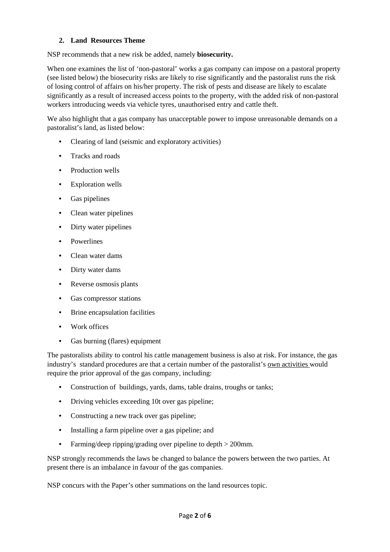## **2. Land Resources Theme**

NSP recommends that a new risk be added, namely **biosecurity.**

When one examines the list of 'non-pastoral' works a gas company can impose on a pastoral property (see listed below) the biosecurity risks are likely to rise significantly and the pastoralist runs the risk of losing control of affairs on his/her property. The risk of pests and disease are likely to escalate significantly as a result of increased access points to the property, with the added risk of non-pastoral workers introducing weeds via vehicle tyres, unauthorised entry and cattle theft.

We also highlight that a gas company has unacceptable power to impose unreasonable demands on a pastoralist's land, as listed below:

- Clearing of land (seismic and exploratory activities)
- Tracks and roads
- Production wells
- Exploration wells
- Gas pipelines
- Clean water pipelines
- Dirty water pipelines
- Powerlines
- Clean water dams
- Dirty water dams
- Reverse osmosis plants
- Gas compressor stations
- Brine encapsulation facilities
- Work offices
- Gas burning (flares) equipment

The pastoralists ability to control his cattle management business is also at risk. For instance, the gas industry's standard procedures are that a certain number of the pastoralist's own activities would require the prior approval of the gas company, including:

- Construction of buildings, yards, dams, table drains, troughs or tanks;
- Driving vehicles exceeding 10t over gas pipeline;
- Constructing a new track over gas pipeline;
- Installing a farm pipeline over a gas pipeline; and
- Farming/deep ripping/grading over pipeline to depth > 200mm.

NSP strongly recommends the laws be changed to balance the powers between the two parties. At present there is an imbalance in favour of the gas companies.

NSP concurs with the Paper's other summations on the land resources topic.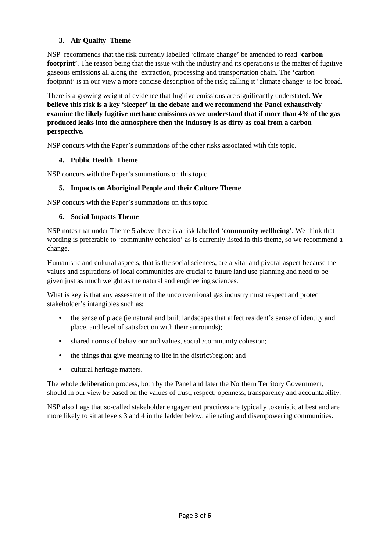## **3. Air Quality Theme**

NSP recommends that the risk currently labelled 'climate change' be amended to read '**carbon footprint'**. The reason being that the issue with the industry and its operations is the matter of fugitive gaseous emissions all along the extraction, processing and transportation chain. The 'carbon footprint' is in our view a more concise description of the risk; calling it 'climate change' is too broad.

There is a growing weight of evidence that fugitive emissions are significantly understated. **We believe this risk is a key 'sleeper' in the debate and we recommend the Panel exhaustively examine the likely fugitive methane emissions as we understand that if more than 4% of the gas produced leaks into the atmosphere then the industry is as dirty as coal from a carbon perspective.**

NSP concurs with the Paper's summations of the other risks associated with this topic.

## **4. Public Health Theme**

NSP concurs with the Paper's summations on this topic.

## **5. Impacts on Aboriginal People and their Culture Theme**

NSP concurs with the Paper's summations on this topic.

### **6. Social Impacts Theme**

NSP notes that under Theme 5 above there is a risk labelled **'community wellbeing'**. We think that wording is preferable to 'community cohesion' as is currently listed in this theme, so we recommend a change.

Humanistic and cultural aspects, that is the social sciences, are a vital and pivotal aspect because the values and aspirations of local communities are crucial to future land use planning and need to be given just as much weight as the natural and engineering sciences.

What is key is that any assessment of the unconventional gas industry must respect and protect stakeholder's intangibles such as:

- the sense of place (ie natural and built landscapes that affect resident's sense of identity and place, and level of satisfaction with their surrounds);
- shared norms of behaviour and values, social /community cohesion;
- the things that give meaning to life in the district/region; and
- cultural heritage matters.

The whole deliberation process, both by the Panel and later the Northern Territory Government, should in our view be based on the values of trust, respect, openness, transparency and accountability.

NSP also flags that so-called stakeholder engagement practices are typically tokenistic at best and are more likely to sit at levels 3 and 4 in the ladder below, alienating and disempowering communities.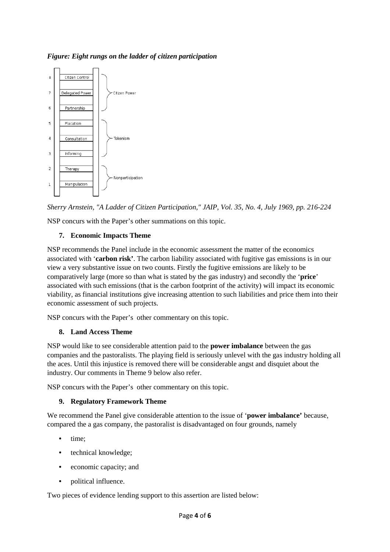*Figure: Eight rungs on the ladder of citizen participation* 



*Sherry Arnstein, "A Ladder of Citizen Participation," JAIP, Vol. 35, No. 4, July 1969, pp. 216-224*

NSP concurs with the Paper's other summations on this topic.

## **7. Economic Impacts Theme**

NSP recommends the Panel include in the economic assessment the matter of the economics associated with '**carbon risk'**. The carbon liability associated with fugitive gas emissions is in our view a very substantive issue on two counts. Firstly the fugitive emissions are likely to be comparatively large (more so than what is stated by the gas industry) and secondly the '**price**' associated with such emissions (that is the carbon footprint of the activity) will impact its economic viability, as financial institutions give increasing attention to such liabilities and price them into their economic assessment of such projects.

NSP concurs with the Paper's other commentary on this topic.

# **8. Land Access Theme**

NSP would like to see considerable attention paid to the **power imbalance** between the gas companies and the pastoralists. The playing field is seriously unlevel with the gas industry holding all the aces. Until this injustice is removed there will be considerable angst and disquiet about the industry. Our comments in Theme 9 below also refer.

NSP concurs with the Paper's other commentary on this topic.

# **9. Regulatory Framework Theme**

We recommend the Panel give considerable attention to the issue of '**power imbalance'** because, compared the a gas company, the pastoralist is disadvantaged on four grounds, namely

- time:
- technical knowledge;
- economic capacity; and
- political influence.

Two pieces of evidence lending support to this assertion are listed below: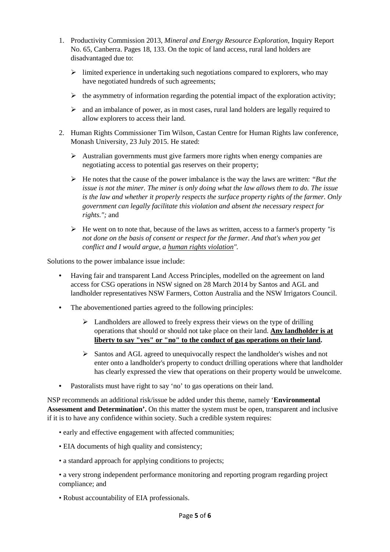- 1. Productivity Commission 2013, *Mineral and Energy Resource Exploration*, Inquiry Report No. 65, Canberra. Pages 18, 133. On the topic of land access, rural land holders are disadvantaged due to:
	- $\triangleright$  limited experience in undertaking such negotiations compared to explorers, who may have negotiated hundreds of such agreements;
	- $\triangleright$  the asymmetry of information regarding the potential impact of the exploration activity;
	- $\triangleright$  and an imbalance of power, as in most cases, rural land holders are legally required to allow explorers to access their land.
- 2. Human Rights Commissioner Tim Wilson, Castan Centre for Human Rights law conference, Monash University, 23 July 2015. He stated:
	- $\triangleright$  Australian governments must give farmers more rights when energy companies are negotiating access to potential gas reserves on their property;
	- He notes that the cause of the power imbalance is the way the laws are written: *"But the issue is not the miner. The miner is only doing what the law allows them to do. The issue is the law and whether it properly respects the surface property rights of the farmer. Only government can legally facilitate this violation and absent the necessary respect for rights.";* and
	- He went on to note that, because of the laws as written, access to a farmer's property *"is not done on the basis of consent or respect for the farmer. And that's when you get conflict and I would argue, a human rights violation".*

Solutions to the power imbalance issue include:

- Having fair and transparent Land Access Principles, modelled on the agreement on land access for CSG operations in NSW signed on 28 March 2014 by Santos and AGL and landholder representatives NSW Farmers, Cotton Australia and the NSW Irrigators Council.
- The abovementioned parties agreed to the following principles:
	- $\triangleright$  Landholders are allowed to freely express their views on the type of drilling operations that should or should not take place on their land. **Any landholder is at liberty to say "yes" or "no" to the conduct of gas operations on their land.**
	- Santos and AGL agreed to unequivocally respect the landholder's wishes and not enter onto a landholder's property to conduct drilling operations where that landholder has clearly expressed the view that operations on their property would be unwelcome.
- Pastoralists must have right to say 'no' to gas operations on their land.

NSP recommends an additional risk/issue be added under this theme, namely '**Environmental Assessment and Determination'.** On this matter the system must be open, transparent and inclusive if it is to have any confidence within society. Such a credible system requires:

- early and effective engagement with affected communities;
- EIA documents of high quality and consistency;
- a standard approach for applying conditions to projects;
- a very strong independent performance monitoring and reporting program regarding project compliance; and
- Robust accountability of EIA professionals.